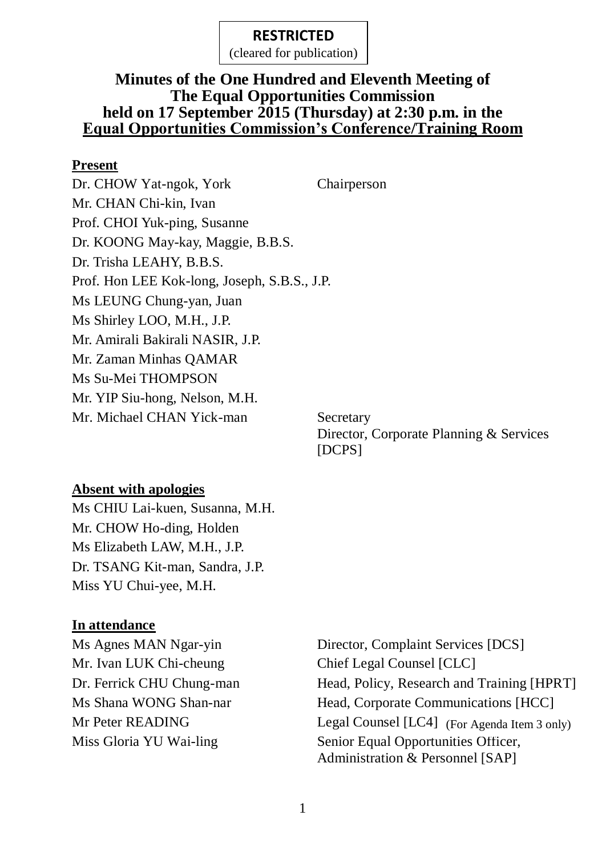(cleared for publication)

# **Minutes of the One Hundred and Eleventh Meeting of The Equal Opportunities Commission held on 17 September 2015 (Thursday) at 2:30 p.m. in the Equal Opportunities Commission's Conference/Training Room**

### **Present**

Dr. CHOW Yat-ngok, York Chairperson Mr. CHAN Chi-kin, Ivan Prof. CHOI Yuk-ping, Susanne Dr. KOONG May-kay, Maggie, B.B.S. Dr. Trisha LEAHY, B.B.S. Prof. Hon LEE Kok-long, Joseph, S.B.S., J.P. Ms LEUNG Chung-yan, Juan Ms Shirley LOO, M.H., J.P. Mr. Amirali Bakirali NASIR, J.P. Mr. Zaman Minhas QAMAR Ms Su-Mei THOMPSON Mr. YIP Siu-hong, Nelson, M.H. Mr. Michael CHAN Yick-man Secretary

Director, Corporate Planning & Services [DCPS]

# **Absent with apologies**

Ms CHIU Lai-kuen, Susanna, M.H. Mr. CHOW Ho-ding, Holden Ms Elizabeth LAW, M.H., J.P. Dr. TSANG Kit-man, Sandra, J.P. Miss YU Chui-yee, M.H.

# **In attendance**

Mr. Ivan LUK Chi-cheung Chief Legal Counsel [CLC]

Ms Agnes MAN Ngar-yin Director, Complaint Services [DCS] Dr. Ferrick CHU Chung-man Head, Policy, Research and Training [HPRT] Ms Shana WONG Shan-nar Head, Corporate Communications [HCC] Mr Peter READING Legal Counsel [LC4] (For Agenda Item 3 only) Miss Gloria YU Wai-ling Senior Equal Opportunities Officer, Administration & Personnel [SAP]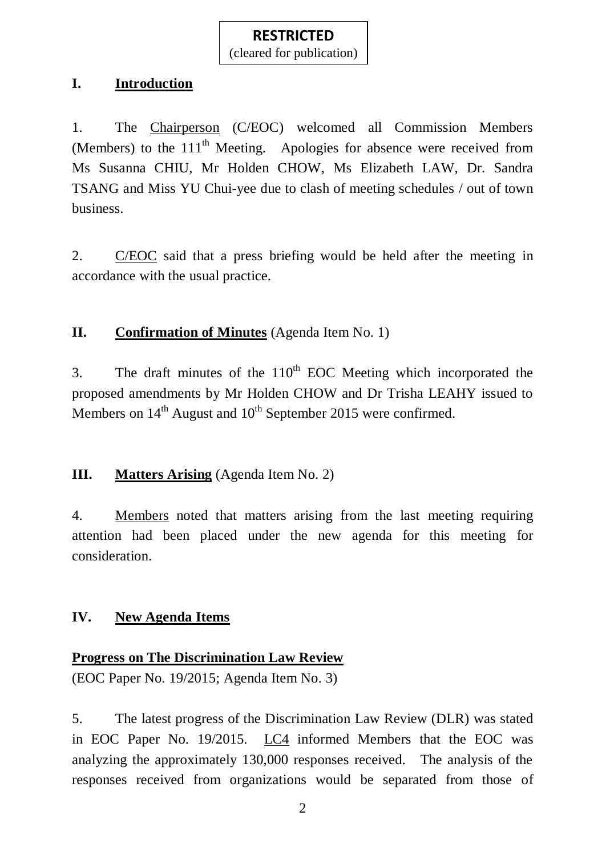(cleared for publication)

# **I. Introduction**

1. The Chairperson (C/EOC) welcomed all Commission Members (Members) to the  $111<sup>th</sup>$  Meeting. Apologies for absence were received from Ms Susanna CHIU, Mr Holden CHOW, Ms Elizabeth LAW, Dr. Sandra TSANG and Miss YU Chui-yee due to clash of meeting schedules / out of town business.

2. C/EOC said that a press briefing would be held after the meeting in accordance with the usual practice.

# **II.** Confirmation of Minutes (Agenda Item No. 1)

3. The draft minutes of the  $110<sup>th</sup>$  EOC Meeting which incorporated the proposed amendments by Mr Holden CHOW and Dr Trisha LEAHY issued to Members on  $14<sup>th</sup>$  August and  $10<sup>th</sup>$  September 2015 were confirmed.

# **III. Matters Arising** (Agenda Item No. 2)

4. Members noted that matters arising from the last meeting requiring attention had been placed under the new agenda for this meeting for consideration.

# **IV. New Agenda Items**

# **Progress on The Discrimination Law Review**

(EOC Paper No. 19/2015; Agenda Item No. 3)

5. The latest progress of the Discrimination Law Review (DLR) was stated in EOC Paper No. 19/2015. LC4 informed Members that the EOC was analyzing the approximately 130,000 responses received. The analysis of the responses received from organizations would be separated from those of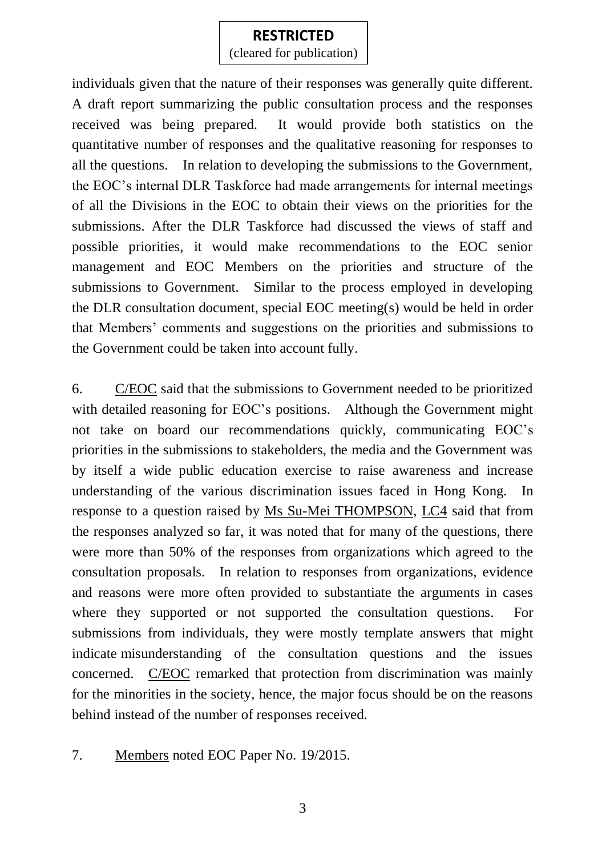(cleared for publication)

individuals given that the nature of their responses was generally quite different. A draft report summarizing the public consultation process and the responses received was being prepared. It would provide both statistics on the quantitative number of responses and the qualitative reasoning for responses to all the questions. In relation to developing the submissions to the Government, the EOC's internal DLR Taskforce had made arrangements for internal meetings of all the Divisions in the EOC to obtain their views on the priorities for the submissions. After the DLR Taskforce had discussed the views of staff and possible priorities, it would make recommendations to the EOC senior management and EOC Members on the priorities and structure of the submissions to Government. Similar to the process employed in developing the DLR consultation document, special EOC meeting(s) would be held in order that Members' comments and suggestions on the priorities and submissions to the Government could be taken into account fully.

6. C/EOC said that the submissions to Government needed to be prioritized with detailed reasoning for EOC's positions. Although the Government might not take on board our recommendations quickly, communicating EOC's priorities in the submissions to stakeholders, the media and the Government was by itself a wide public education exercise to raise awareness and increase understanding of the various discrimination issues faced in Hong Kong. In response to a question raised by Ms Su-Mei THOMPSON, LC4 said that from the responses analyzed so far, it was noted that for many of the questions, there were more than 50% of the responses from organizations which agreed to the consultation proposals. In relation to responses from organizations, evidence and reasons were more often provided to substantiate the arguments in cases where they supported or not supported the consultation questions. For submissions from individuals, they were mostly template answers that might indicate misunderstanding of the consultation questions and the issues concerned. C/EOC remarked that protection from discrimination was mainly for the minorities in the society, hence, the major focus should be on the reasons behind instead of the number of responses received.

7. Members noted EOC Paper No. 19/2015.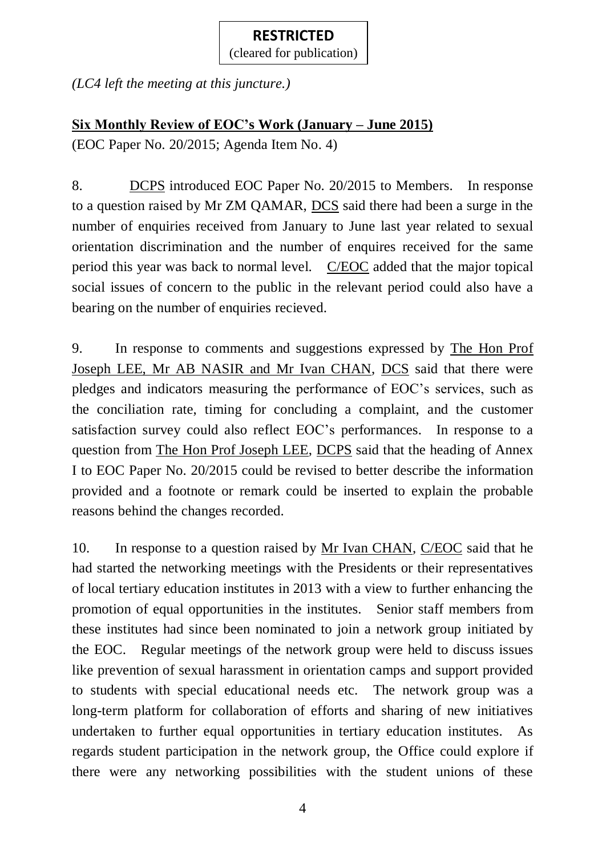(cleared for publication)

*(LC4 left the meeting at this juncture.)*

# **Six Monthly Review of EOC's Work (January – June 2015)**

(EOC Paper No. 20/2015; Agenda Item No. 4)

8. DCPS introduced EOC Paper No. 20/2015 to Members. In response to a question raised by Mr ZM QAMAR, DCS said there had been a surge in the number of enquiries received from January to June last year related to sexual orientation discrimination and the number of enquires received for the same period this year was back to normal level. C/EOC added that the major topical social issues of concern to the public in the relevant period could also have a bearing on the number of enquiries recieved.

9. In response to comments and suggestions expressed by The Hon Prof Joseph LEE, Mr AB NASIR and Mr Ivan CHAN, DCS said that there were pledges and indicators measuring the performance of EOC's services, such as the conciliation rate, timing for concluding a complaint, and the customer satisfaction survey could also reflect EOC's performances. In response to a question from The Hon Prof Joseph LEE, DCPS said that the heading of Annex I to EOC Paper No. 20/2015 could be revised to better describe the information provided and a footnote or remark could be inserted to explain the probable reasons behind the changes recorded.

10. In response to a question raised by Mr Ivan CHAN, C/EOC said that he had started the networking meetings with the Presidents or their representatives of local tertiary education institutes in 2013 with a view to further enhancing the promotion of equal opportunities in the institutes. Senior staff members from these institutes had since been nominated to join a network group initiated by the EOC. Regular meetings of the network group were held to discuss issues like prevention of sexual harassment in orientation camps and support provided to students with special educational needs etc. The network group was a long-term platform for collaboration of efforts and sharing of new initiatives undertaken to further equal opportunities in tertiary education institutes. As regards student participation in the network group, the Office could explore if there were any networking possibilities with the student unions of these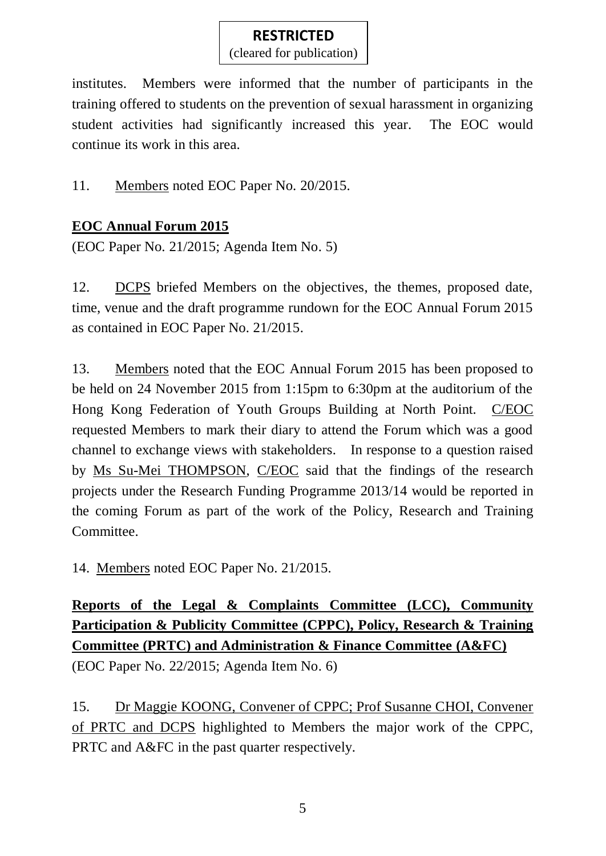(cleared for publication)

institutes. Members were informed that the number of participants in the training offered to students on the prevention of sexual harassment in organizing student activities had significantly increased this year. The EOC would continue its work in this area.

11. Members noted EOC Paper No. 20/2015.

# **EOC Annual Forum 2015**

(EOC Paper No. 21/2015; Agenda Item No. 5)

12. DCPS briefed Members on the objectives, the themes, proposed date, time, venue and the draft programme rundown for the EOC Annual Forum 2015 as contained in EOC Paper No. 21/2015.

13. Members noted that the EOC Annual Forum 2015 has been proposed to be held on 24 November 2015 from 1:15pm to 6:30pm at the auditorium of the Hong Kong Federation of Youth Groups Building at North Point. C/EOC requested Members to mark their diary to attend the Forum which was a good channel to exchange views with stakeholders. In response to a question raised by Ms Su-Mei THOMPSON, C/EOC said that the findings of the research projects under the Research Funding Programme 2013/14 would be reported in the coming Forum as part of the work of the Policy, Research and Training Committee.

14. Members noted EOC Paper No. 21/2015.

**Reports of the Legal & Complaints Committee (LCC), Community Participation & Publicity Committee (CPPC), Policy, Research & Training Committee (PRTC) and Administration & Finance Committee (A&FC)**

(EOC Paper No. 22/2015; Agenda Item No. 6)

15. Dr Maggie KOONG, Convener of CPPC; Prof Susanne CHOI, Convener of PRTC and DCPS highlighted to Members the major work of the CPPC, PRTC and A&FC in the past quarter respectively.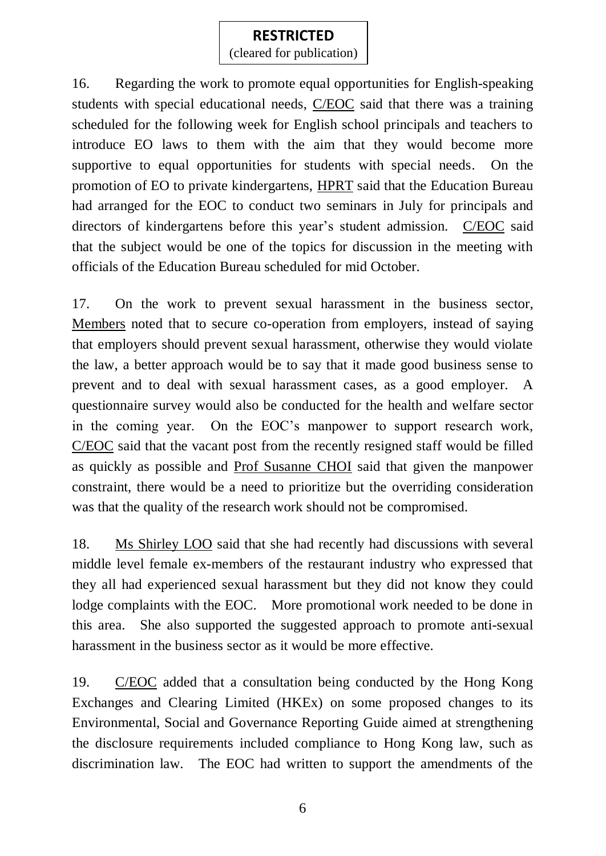(cleared for publication)

16. Regarding the work to promote equal opportunities for English-speaking students with special educational needs, C/EOC said that there was a training scheduled for the following week for English school principals and teachers to introduce EO laws to them with the aim that they would become more supportive to equal opportunities for students with special needs. On the promotion of EO to private kindergartens, HPRT said that the Education Bureau had arranged for the EOC to conduct two seminars in July for principals and directors of kindergartens before this year's student admission. C/EOC said that the subject would be one of the topics for discussion in the meeting with officials of the Education Bureau scheduled for mid October.

17. On the work to prevent sexual harassment in the business sector, Members noted that to secure co-operation from employers, instead of saying that employers should prevent sexual harassment, otherwise they would violate the law, a better approach would be to say that it made good business sense to prevent and to deal with sexual harassment cases, as a good employer. A questionnaire survey would also be conducted for the health and welfare sector in the coming year. On the EOC's manpower to support research work, C/EOC said that the vacant post from the recently resigned staff would be filled as quickly as possible and Prof Susanne CHOI said that given the manpower constraint, there would be a need to prioritize but the overriding consideration was that the quality of the research work should not be compromised.

18. Ms Shirley LOO said that she had recently had discussions with several middle level female ex-members of the restaurant industry who expressed that they all had experienced sexual harassment but they did not know they could lodge complaints with the EOC. More promotional work needed to be done in this area. She also supported the suggested approach to promote anti-sexual harassment in the business sector as it would be more effective.

19. C/EOC added that a consultation being conducted by the Hong Kong Exchanges and Clearing Limited (HKEx) on some proposed changes to its Environmental, Social and Governance Reporting Guide aimed at strengthening the disclosure requirements included compliance to Hong Kong law, such as discrimination law. The EOC had written to support the amendments of the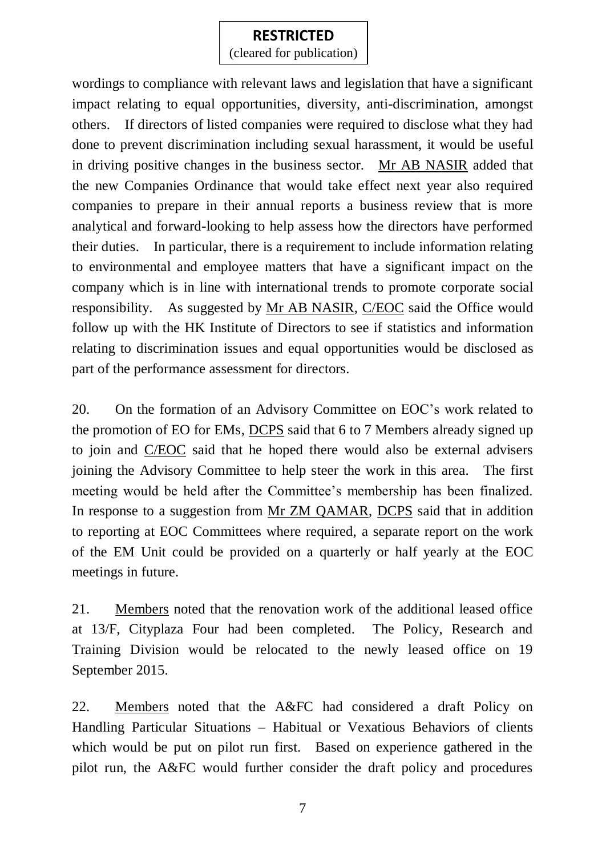(cleared for publication)

wordings to compliance with relevant laws and legislation that have a significant impact relating to equal opportunities, diversity, anti-discrimination, amongst others. If directors of listed companies were required to disclose what they had done to prevent discrimination including sexual harassment, it would be useful in driving positive changes in the business sector. Mr AB NASIR added that the new Companies Ordinance that would take effect next year also required companies to prepare in their annual reports a business review that is more analytical and forward-looking to help assess how the directors have performed their duties. In particular, there is a requirement to include information relating to environmental and employee matters that have a significant impact on the company which is in line with international trends to promote corporate social responsibility. As suggested by Mr AB NASIR, C/EOC said the Office would follow up with the HK Institute of Directors to see if statistics and information relating to discrimination issues and equal opportunities would be disclosed as part of the performance assessment for directors.

20. On the formation of an Advisory Committee on EOC's work related to the promotion of EO for EMs, DCPS said that 6 to 7 Members already signed up to join and C/EOC said that he hoped there would also be external advisers joining the Advisory Committee to help steer the work in this area. The first meeting would be held after the Committee's membership has been finalized. In response to a suggestion from Mr ZM QAMAR, DCPS said that in addition to reporting at EOC Committees where required, a separate report on the work of the EM Unit could be provided on a quarterly or half yearly at the EOC meetings in future.

21. Members noted that the renovation work of the additional leased office at 13/F, Cityplaza Four had been completed. The Policy, Research and Training Division would be relocated to the newly leased office on 19 September 2015.

22. Members noted that the A&FC had considered a draft Policy on Handling Particular Situations – Habitual or Vexatious Behaviors of clients which would be put on pilot run first. Based on experience gathered in the pilot run, the A&FC would further consider the draft policy and procedures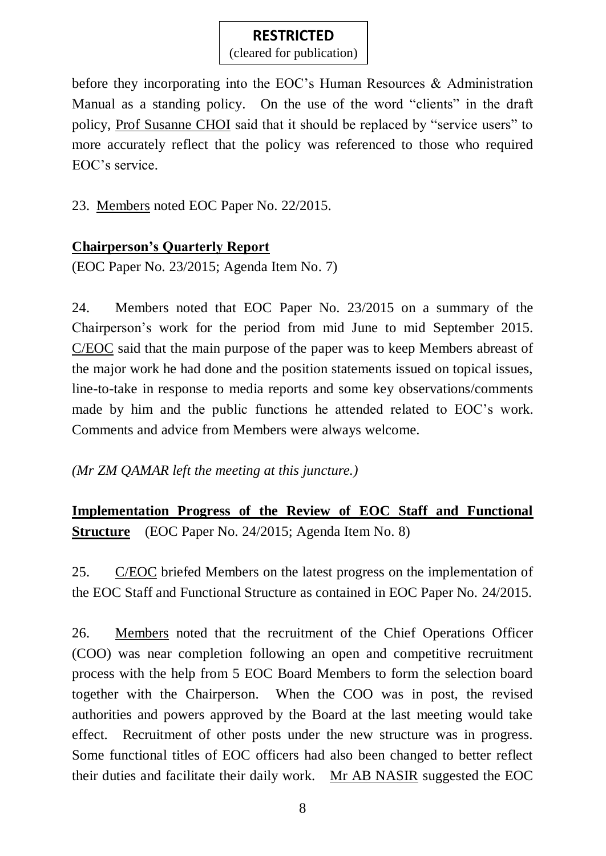(cleared for publication)

before they incorporating into the EOC's Human Resources & Administration Manual as a standing policy. On the use of the word "clients" in the draft policy, Prof Susanne CHOI said that it should be replaced by "service users" to more accurately reflect that the policy was referenced to those who required EOC's service.

23. Members noted EOC Paper No. 22/2015.

# **Chairperson's Quarterly Report**

(EOC Paper No. 23/2015; Agenda Item No. 7)

24. Members noted that EOC Paper No. 23/2015 on a summary of the Chairperson's work for the period from mid June to mid September 2015. C/EOC said that the main purpose of the paper was to keep Members abreast of the major work he had done and the position statements issued on topical issues, line-to-take in response to media reports and some key observations/comments made by him and the public functions he attended related to EOC's work. Comments and advice from Members were always welcome.

*(Mr ZM QAMAR left the meeting at this juncture.)*

**Implementation Progress of the Review of EOC Staff and Functional Structure** (EOC Paper No. 24/2015; Agenda Item No. 8)

25. C/EOC briefed Members on the latest progress on the implementation of the EOC Staff and Functional Structure as contained in EOC Paper No. 24/2015.

26. Members noted that the recruitment of the Chief Operations Officer (COO) was near completion following an open and competitive recruitment process with the help from 5 EOC Board Members to form the selection board together with the Chairperson. When the COO was in post, the revised authorities and powers approved by the Board at the last meeting would take effect. Recruitment of other posts under the new structure was in progress. Some functional titles of EOC officers had also been changed to better reflect their duties and facilitate their daily work. Mr AB NASIR suggested the EOC